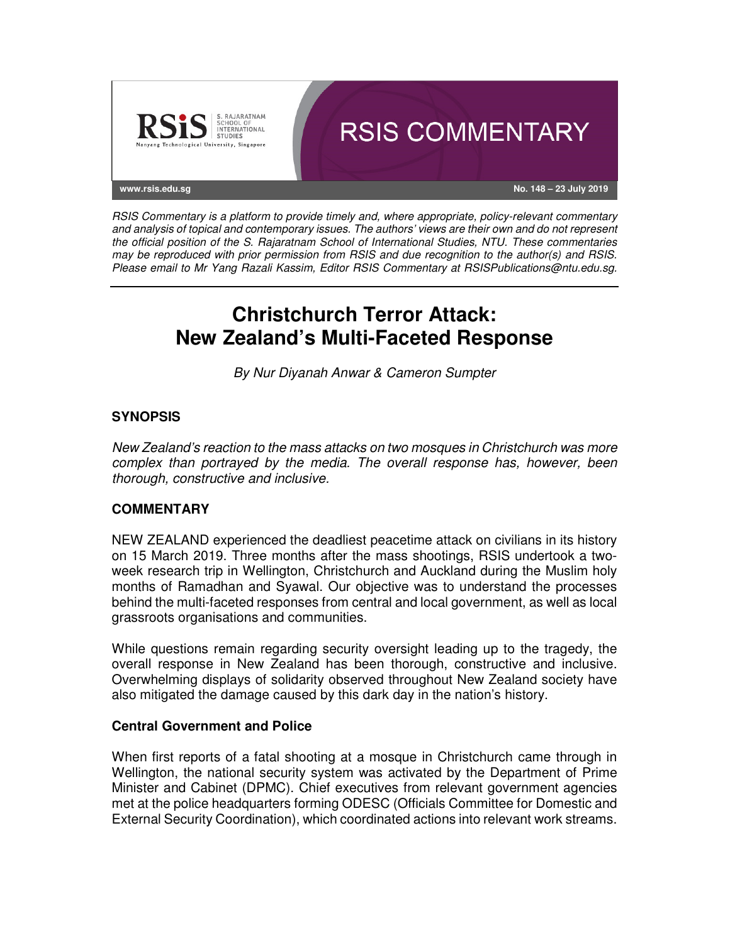

RSIS Commentary is a platform to provide timely and, where appropriate, policy-relevant commentary and analysis of topical and contemporary issues. The authors' views are their own and do not represent the official position of the S. Rajaratnam School of International Studies, NTU. These commentaries may be reproduced with prior permission from RSIS and due recognition to the author(s) and RSIS. Please email to Mr Yang Razali Kassim, Editor RSIS Commentary at RSISPublications@ntu.edu.sg.

# **Christchurch Terror Attack: New Zealand's Multi-Faceted Response**

By Nur Diyanah Anwar & Cameron Sumpter

# **SYNOPSIS**

New Zealand's reaction to the mass attacks on two mosques in Christchurch was more complex than portrayed by the media. The overall response has, however, been thorough, constructive and inclusive.

# **COMMENTARY**

NEW ZEALAND experienced the deadliest peacetime attack on civilians in its history on 15 March 2019. Three months after the mass shootings, RSIS undertook a twoweek research trip in Wellington, Christchurch and Auckland during the Muslim holy months of Ramadhan and Syawal. Our objective was to understand the processes behind the multi-faceted responses from central and local government, as well as local grassroots organisations and communities.

While questions remain regarding security oversight leading up to the tragedy, the overall response in New Zealand has been thorough, constructive and inclusive. Overwhelming displays of solidarity observed throughout New Zealand society have also mitigated the damage caused by this dark day in the nation's history.

## **Central Government and Police**

When first reports of a fatal shooting at a mosque in Christchurch came through in Wellington, the national security system was activated by the Department of Prime Minister and Cabinet (DPMC). Chief executives from relevant government agencies met at the police headquarters forming ODESC (Officials Committee for Domestic and External Security Coordination), which coordinated actions into relevant work streams.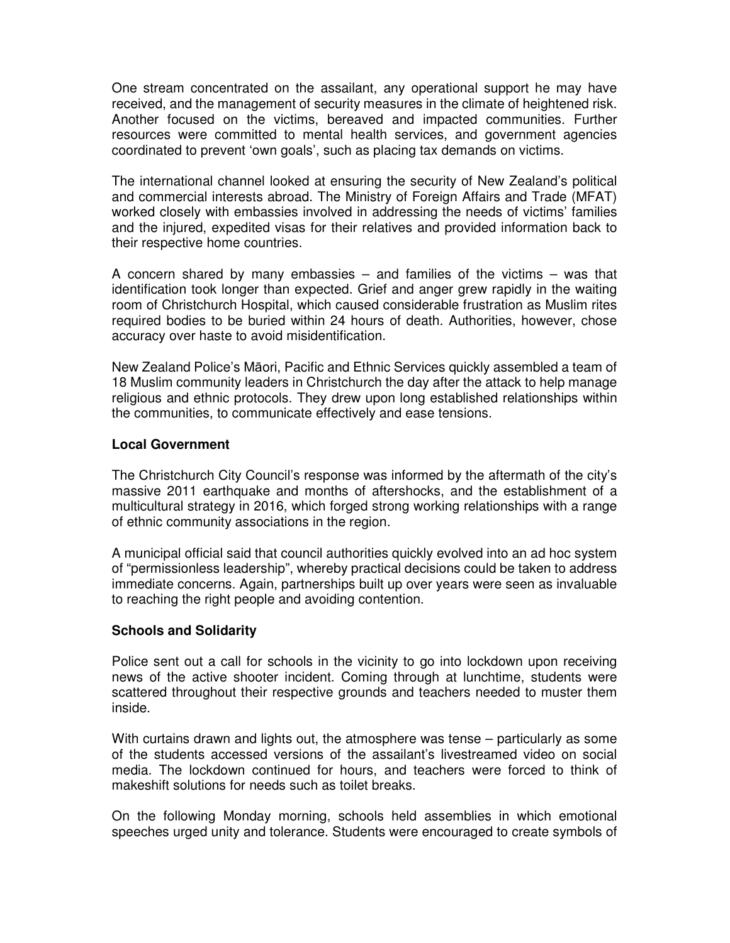One stream concentrated on the assailant, any operational support he may have received, and the management of security measures in the climate of heightened risk. Another focused on the victims, bereaved and impacted communities. Further resources were committed to mental health services, and government agencies coordinated to prevent 'own goals', such as placing tax demands on victims.

The international channel looked at ensuring the security of New Zealand's political and commercial interests abroad. The Ministry of Foreign Affairs and Trade (MFAT) worked closely with embassies involved in addressing the needs of victims' families and the injured, expedited visas for their relatives and provided information back to their respective home countries.

A concern shared by many embassies – and families of the victims – was that identification took longer than expected. Grief and anger grew rapidly in the waiting room of Christchurch Hospital, which caused considerable frustration as Muslim rites required bodies to be buried within 24 hours of death. Authorities, however, chose accuracy over haste to avoid misidentification.

New Zealand Police's Māori, Pacific and Ethnic Services quickly assembled a team of 18 Muslim community leaders in Christchurch the day after the attack to help manage religious and ethnic protocols. They drew upon long established relationships within the communities, to communicate effectively and ease tensions.

#### **Local Government**

The Christchurch City Council's response was informed by the aftermath of the city's massive 2011 earthquake and months of aftershocks, and the establishment of a multicultural strategy in 2016, which forged strong working relationships with a range of ethnic community associations in the region.

A municipal official said that council authorities quickly evolved into an ad hoc system of "permissionless leadership", whereby practical decisions could be taken to address immediate concerns. Again, partnerships built up over years were seen as invaluable to reaching the right people and avoiding contention.

## **Schools and Solidarity**

Police sent out a call for schools in the vicinity to go into lockdown upon receiving news of the active shooter incident. Coming through at lunchtime, students were scattered throughout their respective grounds and teachers needed to muster them inside.

With curtains drawn and lights out, the atmosphere was tense – particularly as some of the students accessed versions of the assailant's livestreamed video on social media. The lockdown continued for hours, and teachers were forced to think of makeshift solutions for needs such as toilet breaks.

On the following Monday morning, schools held assemblies in which emotional speeches urged unity and tolerance. Students were encouraged to create symbols of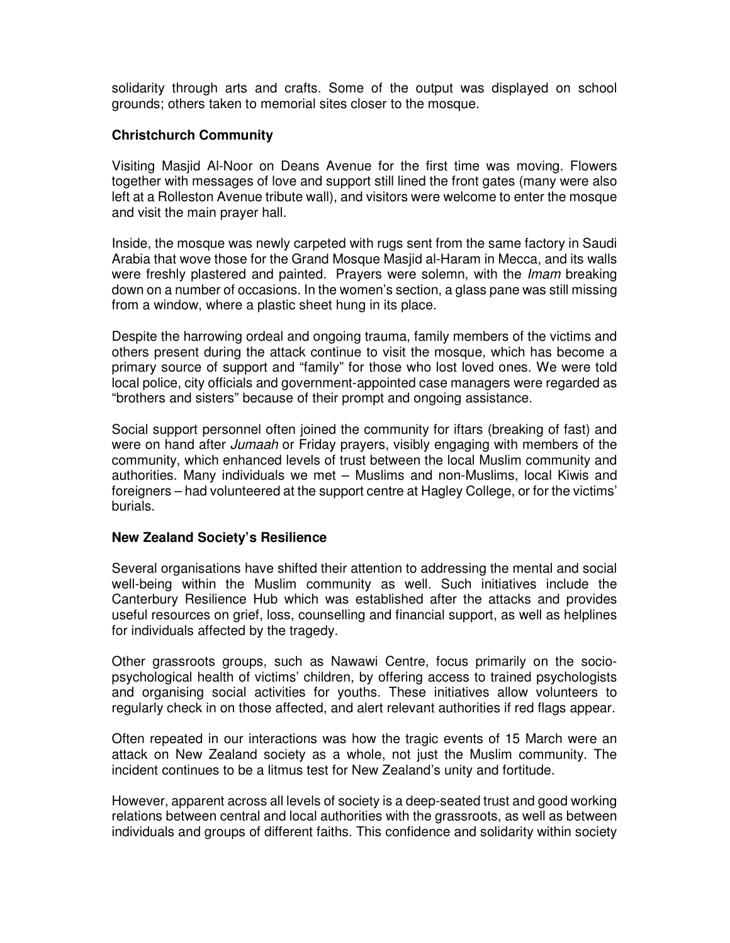solidarity through arts and crafts. Some of the output was displayed on school grounds; others taken to memorial sites closer to the mosque.

# **Christchurch Community**

Visiting Masjid Al-Noor on Deans Avenue for the first time was moving. Flowers together with messages of love and support still lined the front gates (many were also left at a Rolleston Avenue tribute wall), and visitors were welcome to enter the mosque and visit the main prayer hall.

Inside, the mosque was newly carpeted with rugs sent from the same factory in Saudi Arabia that wove those for the Grand Mosque Masjid al-Haram in Mecca, and its walls were freshly plastered and painted. Prayers were solemn, with the *Imam* breaking down on a number of occasions. In the women's section, a glass pane was still missing from a window, where a plastic sheet hung in its place.

Despite the harrowing ordeal and ongoing trauma, family members of the victims and others present during the attack continue to visit the mosque, which has become a primary source of support and "family" for those who lost loved ones. We were told local police, city officials and government-appointed case managers were regarded as "brothers and sisters" because of their prompt and ongoing assistance.

Social support personnel often joined the community for iftars (breaking of fast) and were on hand after Jumaah or Friday prayers, visibly engaging with members of the community, which enhanced levels of trust between the local Muslim community and authorities. Many individuals we met – Muslims and non-Muslims, local Kiwis and foreigners – had volunteered at the support centre at Hagley College, or for the victims' burials.

## **New Zealand Society's Resilience**

Several organisations have shifted their attention to addressing the mental and social well-being within the Muslim community as well. Such initiatives include the Canterbury Resilience Hub which was established after the attacks and provides useful resources on grief, loss, counselling and financial support, as well as helplines for individuals affected by the tragedy.

Other grassroots groups, such as Nawawi Centre, focus primarily on the sociopsychological health of victims' children, by offering access to trained psychologists and organising social activities for youths. These initiatives allow volunteers to regularly check in on those affected, and alert relevant authorities if red flags appear.

Often repeated in our interactions was how the tragic events of 15 March were an attack on New Zealand society as a whole, not just the Muslim community. The incident continues to be a litmus test for New Zealand's unity and fortitude.

However, apparent across all levels of society is a deep-seated trust and good working relations between central and local authorities with the grassroots, as well as between individuals and groups of different faiths. This confidence and solidarity within society